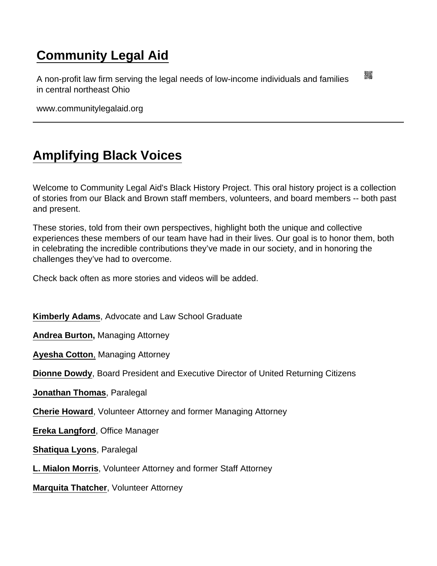## [Community Legal Aid](https://www.communitylegalaid.org/)

A non-profit law firm serving the legal needs of low-income individuals and families in central northeast Ohio

www.communitylegalaid.org

## [Amplifying Black Voices](https://www.communitylegalaid.org/blackhistory)

Welcome to Community Legal Aid's Black History Project. This oral history project is a collection of stories from our Black and Brown staff members, volunteers, and board members -- both past and present.

These stories, told from their own perspectives, highlight both the unique and collective experiences these members of our team have had in their lives. Our goal is to honor them, both in celebrating the incredible contributions they've made in our society, and in honoring the challenges they've had to overcome.

Check back often as more stories and videos will be added.

[Kimberly Adams](https://youtu.be/d9UNEsxwOpc) , Advocate and Law School Graduate

[Andrea Burton](https://youtu.be/WbBIoLczhgM) , Managing Attorney

[Ayesha Cotton](https://youtu.be/5Ss-GTD9iPY?list=PLVowXN6bTg3d8ILRsOSL853g4-IGbYTRO) , Managing Attorney

[Dionne Dowdy](https://youtu.be/GGubsCNv-zw?list=PLVowXN6bTg3d8ILRsOSL853g4-IGbYTRO) , Board President and Executive Director of United Returning Citizens

[Jonathan Thomas](https://youtu.be/N-I3sFMf70g) , Paralegal

[Cherie Howard](https://youtu.be/ek45i9cjwzk) , Volunteer Attorney and former Managing Attorney

[Ereka Langford](https://drive.google.com/file/d/1qbXY68DtezNr3cX4IVz09fb4b5IrP33L/view?usp=sharing) , Office Manager

[Shatiqua Lyons](https://youtu.be/y9C927DXsAg) , Paralegal

[L. Mialon Morris](https://youtu.be/mmTGZZQ6qTQ) , Volunteer Attorney and former Staff Attorney

[Marquita Thatcher](https://drive.google.com/file/d/1CZKF5gpLUXjSbRZDwkGC-2AVA-zw3ACP/view?usp=sharing) , Volunteer Attorney